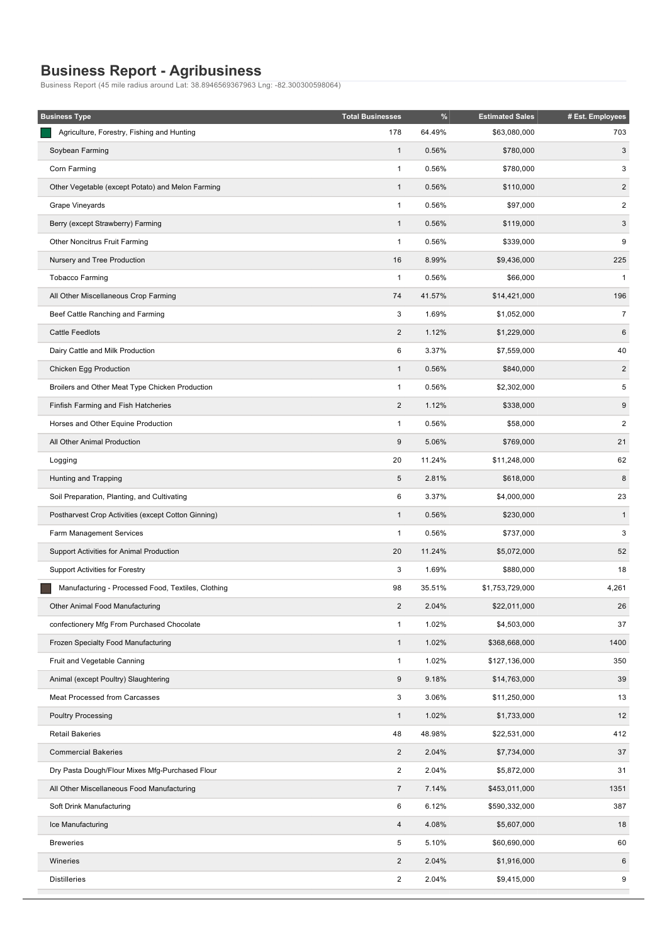## **Business Report Agribusiness**

Business Report (45 mile radius around Lat: 38.8946569367963 Lng: 82.300300598064)

| <b>Business Type</b>                                | <b>Total Businesses</b> | %      | <b>Estimated Sales</b> | # Est. Employees        |
|-----------------------------------------------------|-------------------------|--------|------------------------|-------------------------|
| Agriculture, Forestry, Fishing and Hunting          | 178                     | 64.49% | \$63,080,000           | 703                     |
| Soybean Farming                                     | $\mathbf{1}$            | 0.56%  | \$780,000              | 3                       |
| Corn Farming                                        | 1                       | 0.56%  | \$780,000              | 3                       |
| Other Vegetable (except Potato) and Melon Farming   | $\mathbf{1}$            | 0.56%  | \$110,000              | $\sqrt{2}$              |
| Grape Vineyards                                     | $\mathbf{1}$            | 0.56%  | \$97,000               | $\overline{\mathbf{c}}$ |
| Berry (except Strawberry) Farming                   | $\mathbf{1}$            | 0.56%  | \$119,000              | 3                       |
| Other Noncitrus Fruit Farming                       | 1                       | 0.56%  | \$339,000              | 9                       |
| Nursery and Tree Production                         | 16                      | 8.99%  | \$9,436,000            | 225                     |
| <b>Tobacco Farming</b>                              | $\mathbf{1}$            | 0.56%  | \$66,000               | $\mathbf{1}$            |
| All Other Miscellaneous Crop Farming                | 74                      | 41.57% | \$14,421,000           | 196                     |
| Beef Cattle Ranching and Farming                    | 3                       | 1.69%  | \$1,052,000            | $\boldsymbol{7}$        |
| <b>Cattle Feedlots</b>                              | $\sqrt{2}$              | 1.12%  | \$1,229,000            | $\,6\,$                 |
| Dairy Cattle and Milk Production                    | 6                       | 3.37%  | \$7,559,000            | 40                      |
| Chicken Egg Production                              | $\mathbf{1}$            | 0.56%  | \$840,000              | $\overline{c}$          |
| Broilers and Other Meat Type Chicken Production     | $\mathbf{1}$            | 0.56%  | \$2,302,000            | 5                       |
| Finfish Farming and Fish Hatcheries                 | $\sqrt{2}$              | 1.12%  | \$338,000              | $\boldsymbol{9}$        |
| Horses and Other Equine Production                  | $\mathbf{1}$            | 0.56%  | \$58,000               | $\overline{\mathbf{c}}$ |
| All Other Animal Production                         | 9                       | 5.06%  | \$769,000              | 21                      |
| Logging                                             | 20                      | 11.24% | \$11,248,000           | 62                      |
| Hunting and Trapping                                | $\sqrt{5}$              | 2.81%  | \$618,000              | 8                       |
| Soil Preparation, Planting, and Cultivating         | 6                       | 3.37%  | \$4,000,000            | 23                      |
| Postharvest Crop Activities (except Cotton Ginning) | $\mathbf{1}$            | 0.56%  | \$230,000              | $\mathbf{1}$            |
| Farm Management Services                            | $\mathbf{1}$            | 0.56%  | \$737,000              | 3                       |
| Support Activities for Animal Production            | 20                      | 11.24% | \$5,072,000            | 52                      |
| <b>Support Activities for Forestry</b>              | 3                       | 1.69%  | \$880,000              | 18                      |
| Manufacturing - Processed Food, Textiles, Clothing  | 98                      | 35.51% | \$1,753,729,000        | 4,261                   |
| Other Animal Food Manufacturing                     | $\overline{2}$          | 2.04%  | \$22,011,000           | 26                      |
| confectionery Mfg From Purchased Chocolate          | $\mathbf{1}$            | 1.02%  | \$4,503,000            | 37                      |
| Frozen Specialty Food Manufacturing                 | $\mathbf{1}$            | 1.02%  | \$368,668,000          | 1400                    |
| Fruit and Vegetable Canning                         | $\mathbf{1}$            | 1.02%  | \$127,136,000          | 350                     |
| Animal (except Poultry) Slaughtering                | $\boldsymbol{9}$        | 9.18%  | \$14,763,000           | 39                      |
| Meat Processed from Carcasses                       | 3                       | 3.06%  | \$11,250,000           | 13                      |
| <b>Poultry Processing</b>                           | $\mathbf{1}$            | 1.02%  | \$1,733,000            | 12                      |
| <b>Retail Bakeries</b>                              | 48                      | 48.98% | \$22,531,000           | 412                     |
| <b>Commercial Bakeries</b>                          | $\sqrt{2}$              | 2.04%  | \$7,734,000            | 37                      |
| Dry Pasta Dough/Flour Mixes Mfg-Purchased Flour     | $\overline{\mathbf{c}}$ | 2.04%  | \$5,872,000            | 31                      |
| All Other Miscellaneous Food Manufacturing          | $\overline{7}$          | 7.14%  | \$453,011,000          | 1351                    |
| Soft Drink Manufacturing                            | 6                       | 6.12%  | \$590,332,000          | 387                     |
| Ice Manufacturing                                   | 4                       | 4.08%  | \$5,607,000            | 18                      |
| <b>Breweries</b>                                    | 5                       | 5.10%  | \$60,690,000           | 60                      |
| Wineries                                            | $\overline{2}$          | 2.04%  | \$1,916,000            | 6                       |
| <b>Distilleries</b>                                 | $\overline{\mathbf{c}}$ | 2.04%  | \$9,415,000            | 9                       |
|                                                     |                         |        |                        |                         |

To a 2.04%  $\pm$  2.04%  $\pm$  2.04%  $\pm$  2.04%  $\pm$  2.04%  $\pm$  2.04%  $\pm$  2.04%  $\pm$  2.04%  $\pm$  2.04%  $\pm$